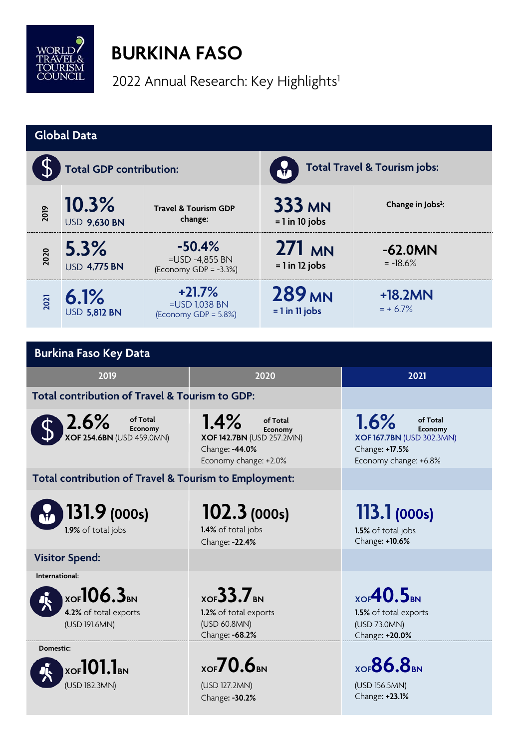

## **BURKINA FASO**

2022 Annual Research: Key Highlights<sup>1</sup>

| <b>Global Data</b>                                                                       |                              |                                                        |                                                                                                            |                                                              |                                                                                                            |  |  |  |
|------------------------------------------------------------------------------------------|------------------------------|--------------------------------------------------------|------------------------------------------------------------------------------------------------------------|--------------------------------------------------------------|------------------------------------------------------------------------------------------------------------|--|--|--|
| <b>Total GDP contribution:</b>                                                           |                              |                                                        |                                                                                                            | <b>Total Travel &amp; Tourism jobs:</b>                      |                                                                                                            |  |  |  |
| 2019                                                                                     | 10.3%<br><b>USD 9,630 BN</b> | <b>Travel &amp; Tourism GDP</b><br>change:             |                                                                                                            | <b>333 MN</b><br>$= 1$ in 10 jobs                            | Change in Jobs <sup>2</sup> :                                                                              |  |  |  |
| 2020                                                                                     | 5.3%<br><b>USD 4,775 BN</b>  | $-50.4%$<br>=USD -4,855 BN<br>(Economy GDP = $-3.3%$ ) |                                                                                                            | 271 MN<br>$= 1$ in 12 jobs                                   | $-62.0MN$<br>$= -18.6%$                                                                                    |  |  |  |
| 2021                                                                                     | 6.1%<br><b>USD 5,812 BN</b>  | $+21.7%$<br>=USD 1,038 BN<br>(Economy GDP = $5.8\%$ )  |                                                                                                            | <b>289 MN</b><br>$= 1$ in 11 jobs                            | $+18.2MN$<br>$= + 6.7%$                                                                                    |  |  |  |
|                                                                                          |                              |                                                        |                                                                                                            |                                                              |                                                                                                            |  |  |  |
| <b>Burkina Faso Key Data</b>                                                             |                              |                                                        |                                                                                                            |                                                              |                                                                                                            |  |  |  |
|                                                                                          | 2019                         |                                                        | 2020                                                                                                       |                                                              | 2021                                                                                                       |  |  |  |
| Total contribution of Travel & Tourism to GDP:                                           |                              |                                                        |                                                                                                            |                                                              |                                                                                                            |  |  |  |
| 2.6%<br>of Total<br>Economy<br><b>XOF 254.6BN (USD 459.0MN)</b>                          |                              |                                                        | 1.4%<br>of Total<br>Economy<br><b>XOF 142.7BN</b> (USD 257.2MN)<br>Change: -44.0%<br>Economy change: +2.0% |                                                              | 1.6%<br>of Total<br>Economy<br><b>XOF 167.7BN (USD 302.3MN)</b><br>Change: +17.5%<br>Economy change: +6.8% |  |  |  |
| Total contribution of Travel & Tourism to Employment:                                    |                              |                                                        |                                                                                                            |                                                              |                                                                                                            |  |  |  |
| 131.9(000s)<br>1.9% of total jobs                                                        |                              |                                                        | 102.3(000s)<br>1.4% of total jobs<br>Change: -22.4%                                                        |                                                              | 113.1(000s)<br>1.5% of total jobs<br>Change: +10.6%                                                        |  |  |  |
|                                                                                          | <b>Visitor Spend:</b>        |                                                        |                                                                                                            |                                                              |                                                                                                            |  |  |  |
| International:<br>$_{XOF}$ 106.3 <sub>BN</sub><br>4.2% of total exports<br>(USD 191.6MN) |                              |                                                        | $_{XOF}$ 33.7 <sub>BN</sub><br>1.2% of total exports<br>(USD 60.8MN)                                       |                                                              | $_{XOF}40.5_{BN}$<br>1.5% of total exports<br>(USD 73.0MN)                                                 |  |  |  |
| Change: -68.2%<br>Change: +20.0%<br>Domestic:                                            |                              |                                                        |                                                                                                            |                                                              |                                                                                                            |  |  |  |
| $_{\rm XOF}$ 101.1bn<br>(USD 182.3MN)                                                    |                              | $X$ OF $70.6$ BN<br>(USD 127.2MN)<br>Change: -30.2%    |                                                                                                            | $X$ OF $86.8_{\text{BN}}$<br>(USD 156.5MN)<br>Change: +23.1% |                                                                                                            |  |  |  |